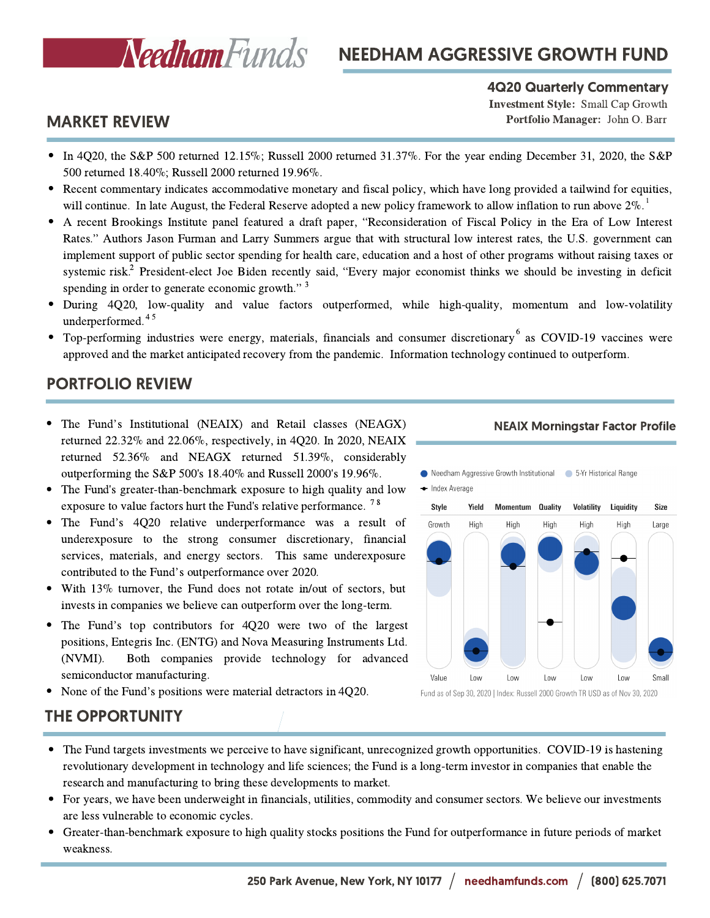

# NEEDHAM AGGRESSIVE GROWTH FUND

#### 4Q20 Quarterly Commentary

Investment Style: Small Cap Growth Portfolio Manager: John O. Barr

### MARKET REVIEW

- In 4Q20, the S&P 500 returned 12.15%; Russell 2000 returned 31.37%. For the year ending December 31, 2020, the S&P 500 returned 18.40%; Russell 2000 returned 19.96%.
- Recent commentary indicates accommodative monetary and fiscal policy, which have long provided a tailwind for equities, will continue. In late August, the Federal Reserve adopted a new policy framework to allow inflation to run above  $2\%$ .<sup>1</sup><br>A recent Brookings Institute panel featured a draft paper, "Reconsideration of Fiscal Policy in t
- A recent Brookings Institute panel featured a draft paper, "Reconsideration of Fiscal Policy in the Era of Low Interest Rates." Authors Jason Furman and Larry Summers argue that with structural low interest rates, the U.S. implement support of public sector spending for health care, education and a host of other programs without raising taxes or implement support of public sector spending for health care, education and a host of other programs without raising taxes or systemic risk.<sup>2</sup> President-elect Joe Biden recently said, "Every major economist thinks we shoul systemic risk.<sup>2</sup> President-elect Joe Biden recentl<br>spending in order to generate economic growth." spending in order to generate economic growth." 3
- During 4Q20, low-quality and value factors outperformed, while high-quality, momentum and low-volatility underperformed. 4 5
- Top-performing industries were energy, materials, financials and consumer discretionary  $6\text{ as COVID-19}$  vaccines were approved and the market anticipated recovery from the pandemic. Information technology continued to outperform.

### PORTFOLIO REVIEW

- The Fund's Institutional (NEAIX) and Retail classes (NEAGX) returned 22.32% and 22.06%, respectively, in 4Q20. In 2020, NEAIX returned 52.36% and NEAGX returned 51.39%, considerably outperforming the S&P 500's 18.40% and Russell 2000's 19.96%.
- The Fund's greater-than-benchmark exposure to high quality and low exposure to value factors hurt the Fund's relative performance.<sup>78</sup>
- The Fund's 4Q20 relative underperformance was <sup>a</sup> result of underexposure to the strong consumer discretionary, financial services, materials, and energy sectors. This same underexposure contributed to the Fund's outperformance over 2020.
- With 13% turnover, the Fund does not rotate in/out of sectors, but invests in companies we believe can outperform over the long-term.
- The Fund's top contributors for 4Q20 were two of the largest positions, Entegris Inc. (ENTG) and Nova Measuring Instruments Ltd. (NVMI). Both companies provide technology for advanced semiconductor manufacturing.
- None of the Fund's positions were material detractors in 4Q20.

#### NEAIX Morningstar Factor Profile





Fund as of Sep 30, 2020 | Index: Russell 2000 Growth TR USD as of Nov 30, 2020

## THE OPPORTUNITY

- The Fund targets investments we perceive to have significant, unrecognized growth opportunities. COVID-19 is hastening revolutionary development in technology and life sciences; the Fund is a long-term investor in companies that enable the research and manufacturing to bring these developments to market.
- For years, we have been underweight in financials, utilities, commodity and consumer sectors. We believe our investments are less vulnerable to economic cycles.
- Greater-than-benchmark exposure to high quality stocks positions the Fund for outperformance in future periods of market weakness.